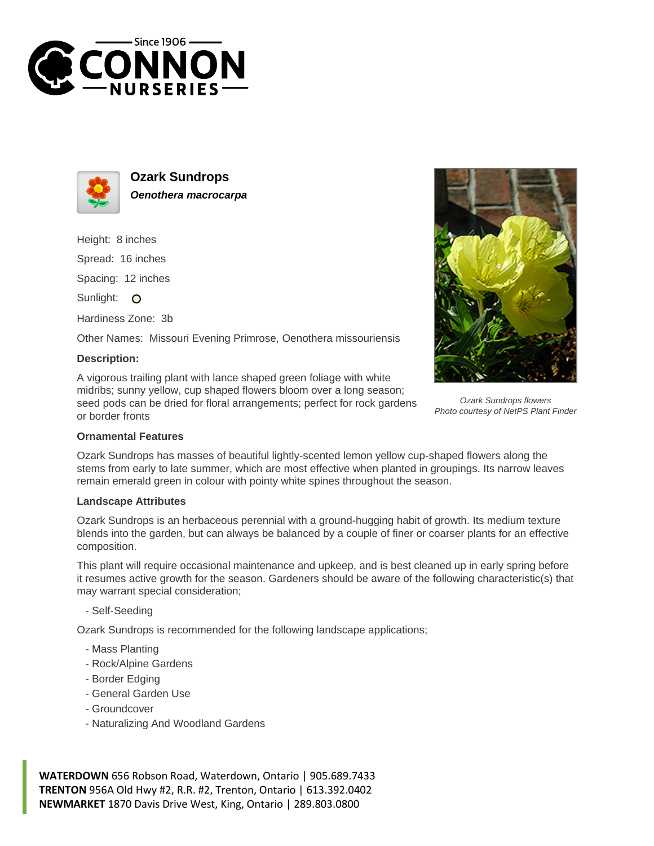



**Ozark Sundrops Oenothera macrocarpa**

Height: 8 inches Spread: 16 inches Spacing: 12 inches Sunlight: O

Hardiness Zone: 3b

Other Names: Missouri Evening Primrose, Oenothera missouriensis

## **Description:**

A vigorous trailing plant with lance shaped green foliage with white midribs; sunny yellow, cup shaped flowers bloom over a long season; seed pods can be dried for floral arrangements; perfect for rock gardens or border fronts



Ozark Sundrops flowers Photo courtesy of NetPS Plant Finder

## **Ornamental Features**

Ozark Sundrops has masses of beautiful lightly-scented lemon yellow cup-shaped flowers along the stems from early to late summer, which are most effective when planted in groupings. Its narrow leaves remain emerald green in colour with pointy white spines throughout the season.

## **Landscape Attributes**

Ozark Sundrops is an herbaceous perennial with a ground-hugging habit of growth. Its medium texture blends into the garden, but can always be balanced by a couple of finer or coarser plants for an effective composition.

This plant will require occasional maintenance and upkeep, and is best cleaned up in early spring before it resumes active growth for the season. Gardeners should be aware of the following characteristic(s) that may warrant special consideration;

- Self-Seeding

Ozark Sundrops is recommended for the following landscape applications;

- Mass Planting
- Rock/Alpine Gardens
- Border Edging
- General Garden Use
- Groundcover
- Naturalizing And Woodland Gardens

**WATERDOWN** 656 Robson Road, Waterdown, Ontario | 905.689.7433 **TRENTON** 956A Old Hwy #2, R.R. #2, Trenton, Ontario | 613.392.0402 **NEWMARKET** 1870 Davis Drive West, King, Ontario | 289.803.0800